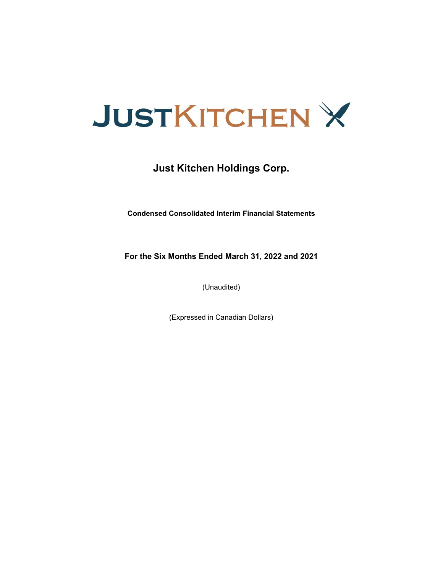

### **Just Kitchen Holdings Corp.**

**Condensed Consolidated Interim Financial Statements**

**For the Six Months Ended March 31, 2022 and 2021**

(Unaudited)

(Expressed in Canadian Dollars)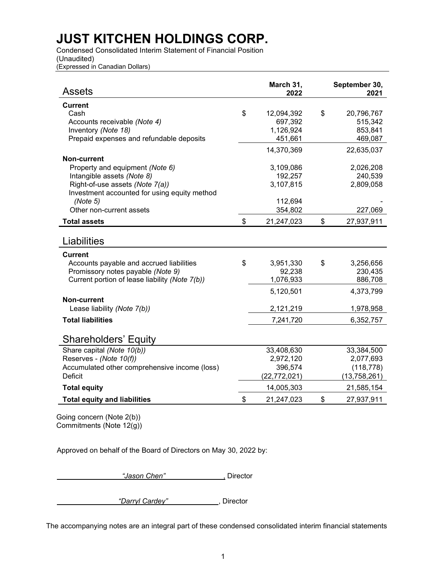Condensed Consolidated Interim Statement of Financial Position

(Unaudited) (Expressed in Canadian Dollars)

| <b>Assets</b>                                                                   | March 31,<br>2022 | September 30,<br>2021 |
|---------------------------------------------------------------------------------|-------------------|-----------------------|
| <b>Current</b>                                                                  |                   |                       |
| Cash                                                                            | \$<br>12,094,392  | \$<br>20,796,767      |
| Accounts receivable (Note 4)                                                    | 697,392           | 515,342               |
| Inventory (Note 18)                                                             | 1,126,924         | 853,841               |
| Prepaid expenses and refundable deposits                                        | 451,661           | 469,087               |
|                                                                                 | 14,370,369        | 22,635,037            |
| Non-current                                                                     |                   |                       |
| Property and equipment (Note 6)                                                 | 3,109,086         | 2,026,208             |
| Intangible assets (Note 8)                                                      | 192,257           | 240,539               |
| Right-of-use assets (Note 7(a))<br>Investment accounted for using equity method | 3,107,815         | 2,809,058             |
| (Note 5)                                                                        | 112,694           |                       |
| Other non-current assets                                                        | 354,802           | 227,069               |
|                                                                                 | \$<br>21,247,023  | \$                    |
| <b>Total assets</b>                                                             |                   | 27,937,911            |
| Liabilities                                                                     |                   |                       |
| <b>Current</b>                                                                  |                   |                       |
| Accounts payable and accrued liabilities                                        | \$<br>3,951,330   | \$<br>3,256,656       |
| Promissory notes payable (Note 9)                                               | 92,238            | 230,435               |
| Current portion of lease liability (Note 7(b))                                  | 1,076,933         | 886,708               |
|                                                                                 | 5,120,501         | 4,373,799             |
| Non-current                                                                     |                   |                       |
| Lease liability (Note 7(b))                                                     | 2,121,219         | 1,978,958             |
| <b>Total liabilities</b>                                                        | 7,241,720         | 6,352,757             |
|                                                                                 |                   |                       |
| <b>Shareholders' Equity</b>                                                     |                   |                       |
| Share capital (Note 10(b))                                                      | 33,408,630        | 33,384,500            |
| Reserves - (Note 10(f))                                                         | 2,972,120         | 2,077,693             |
| Accumulated other comprehensive income (loss)                                   | 396,574           | (118, 778)            |
| <b>Deficit</b>                                                                  | (22, 772, 021)    | (13,758,261)          |
| <b>Total equity</b>                                                             | 14,005,303        | 21,585,154            |
| <b>Total equity and liabilities</b>                                             | \$<br>21,247,023  | \$<br>27,937,911      |
| $\frac{1}{2}$ isa aanaana (blata 0/k))                                          |                   |                       |

Going concern (Note 2(b)) Commitments (Note 12(g))

Approved on behalf of the Board of Directors on May 30, 2022 by:

**"Jason Chen"** , Director

 *"Darryl Cardey"* , Director

The accompanying notes are an integral part of these condensed consolidated interim financial statements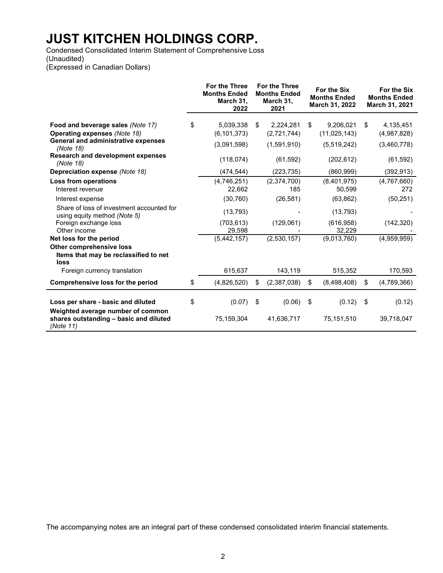Condensed Consolidated Interim Statement of Comprehensive Loss (Unaudited) (Expressed in Canadian Dollars)

|                                                                           | <b>For the Three</b><br><b>Months Ended</b><br>March 31,<br>2022 | <b>For the Three</b><br><b>Months Ended</b><br>March 31,<br>2021 |             | For the Six<br><b>Months Ended</b><br>March 31, 2022 | For the Six<br><b>Months Ended</b><br>March 31, 2021 |
|---------------------------------------------------------------------------|------------------------------------------------------------------|------------------------------------------------------------------|-------------|------------------------------------------------------|------------------------------------------------------|
| Food and beverage sales (Note 17)                                         | \$<br>5,039,338                                                  | \$                                                               | 2,224,281   | \$<br>9,206,021                                      | \$<br>4,135,451                                      |
| <b>Operating expenses (Note 18)</b>                                       | (6, 101, 373)                                                    |                                                                  | (2,721,744) | (11, 025, 143)                                       | (4,987,828)                                          |
| General and administrative expenses<br>(Note 18)                          | (3,091,598)                                                      |                                                                  | (1,591,910) | (5,519,242)                                          | (3,460,778)                                          |
| <b>Research and development expenses</b><br>(Note 18)                     | (118,074)                                                        |                                                                  | (61, 592)   | (202, 612)                                           | (61, 592)                                            |
| Depreciation expense (Note 18)                                            | (474, 544)                                                       |                                                                  | (223, 735)  | (860, 999)                                           | (392, 913)                                           |
| Loss from operations                                                      | (4,746,251)                                                      |                                                                  | (2,374,700) | (8,401,975)                                          | (4,767,660)                                          |
| Interest revenue                                                          | 22,662                                                           |                                                                  | 185         | 50,599                                               | 272                                                  |
| Interest expense                                                          | (30, 760)                                                        |                                                                  | (26, 581)   | (63, 862)                                            | (50, 251)                                            |
| Share of loss of investment accounted for<br>using equity method (Note 5) | (13, 793)                                                        |                                                                  |             | (13, 793)                                            |                                                      |
| Foreign exchange loss                                                     | (703, 613)                                                       |                                                                  | (129,061)   | (616, 958)                                           | (142, 320)                                           |
| Other income                                                              | 29,598                                                           |                                                                  |             | 32,229                                               |                                                      |
| Net loss for the period                                                   | (5, 442, 157)                                                    |                                                                  | (2,530,157) | (9,013,760)                                          | (4,959,959)                                          |
| Other comprehensive loss<br>Items that may be reclassified to net<br>loss |                                                                  |                                                                  |             |                                                      |                                                      |
| Foreign currency translation                                              | 615,637                                                          |                                                                  | 143,119     | 515,352                                              | 170,593                                              |
| Comprehensive loss for the period                                         | \$<br>(4,826,520)                                                | \$                                                               | (2,387,038) | \$<br>(8,498,408)                                    | \$<br>(4,789,366)                                    |
| Loss per share - basic and diluted<br>Weighted average number of common   | \$<br>(0.07)                                                     | \$                                                               | (0.06)      | \$<br>(0.12)                                         | \$<br>(0.12)                                         |
| shares outstanding - basic and diluted<br>(Note 11)                       | 75,159,304                                                       |                                                                  | 41,636,717  | 75,151,510                                           | 39,718,047                                           |

The accompanying notes are an integral part of these condensed consolidated interim financial statements.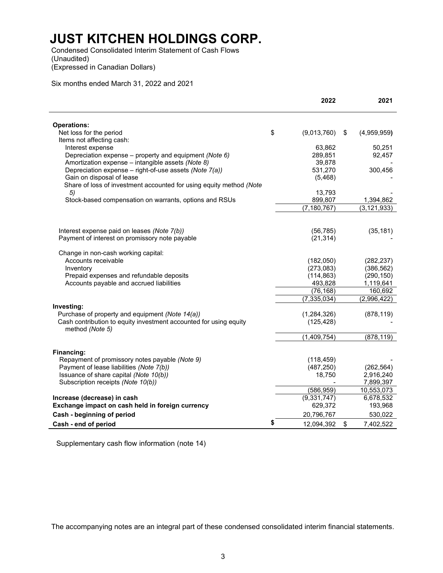Condensed Consolidated Interim Statement of Cash Flows (Unaudited)

(Expressed in Canadian Dollars)

Six months ended March 31, 2022 and 2021

|                                                                                      | 2022              | 2021              |
|--------------------------------------------------------------------------------------|-------------------|-------------------|
|                                                                                      |                   |                   |
| <b>Operations:</b><br>Net loss for the period                                        | \$<br>(9,013,760) | \$<br>(4,959,959) |
| Items not affecting cash:                                                            |                   |                   |
| Interest expense                                                                     | 63,862            | 50,251            |
| Depreciation expense - property and equipment (Note 6)                               | 289,851           | 92,457            |
| Amortization expense - intangible assets (Note 8)                                    | 39,878            |                   |
| Depreciation expense - right-of-use assets (Note 7(a))                               | 531,270           | 300,456           |
| Gain on disposal of lease                                                            | (5,468)           |                   |
| Share of loss of investment accounted for using equity method (Note                  |                   |                   |
| 5)                                                                                   | 13,793            |                   |
| Stock-based compensation on warrants, options and RSUs                               | 899,807           | 1,394,862         |
|                                                                                      | (7, 180, 767)     | (3, 121, 933)     |
|                                                                                      |                   |                   |
| Interest expense paid on leases (Note 7(b))                                          | (56, 785)         | (35, 181)         |
| Payment of interest on promissory note payable                                       | (21, 314)         |                   |
| Change in non-cash working capital:                                                  |                   |                   |
| Accounts receivable                                                                  | (182,050)         | (282, 237)        |
| Inventory                                                                            | (273,083)         | (386, 562)        |
| Prepaid expenses and refundable deposits                                             | (114, 863)        | (290, 150)        |
| Accounts payable and accrued liabilities                                             | 493,828           | 1,119,641         |
|                                                                                      | (76, 168)         | 160.692           |
|                                                                                      | (7, 335, 034)     | (2,996,422)       |
| Investing:                                                                           |                   |                   |
| Purchase of property and equipment (Note 14(a))                                      | (1,284,326)       | (878, 119)        |
| Cash contribution to equity investment accounted for using equity<br>method (Note 5) | (125, 428)        |                   |
|                                                                                      | (1,409,754)       | (878, 119)        |
|                                                                                      |                   |                   |
| Financing:                                                                           |                   |                   |
| Repayment of promissory notes payable (Note 9)                                       | (118, 459)        |                   |
| Payment of lease liabilities (Note 7(b))                                             | (487, 250)        | (262, 564)        |
| Issuance of share capital (Note 10(b))                                               | 18,750            | 2,916,240         |
| Subscription receipts (Note 10(b))                                                   |                   | 7,899,397         |
|                                                                                      | (586, 959)        | 10,553,073        |
| Increase (decrease) in cash                                                          | (9, 331, 747)     | 6,678,532         |
| Exchange impact on cash held in foreign currency                                     | 629,372           | 193,968           |
| Cash - beginning of period                                                           | 20,796,767        | 530,022           |
| Cash - end of period                                                                 | \$<br>12,094,392  | \$<br>7,402,522   |

Supplementary cash flow information (note 14)

The accompanying notes are an integral part of these condensed consolidated interim financial statements.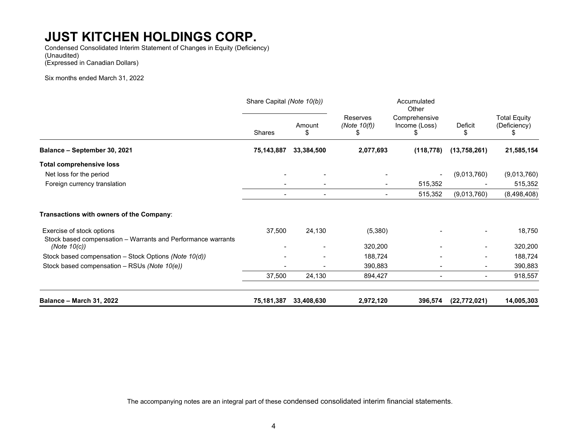Condensed Consolidated Interim Statement of Changes in Equity (Deficiency) (Unaudited) (Expressed in Canadian Dollars)

Six months ended March 31, 2022

|                                                                                           | Share Capital (Note 10(b)) |                          |                                   | Accumulated<br>Other                |                |                                     |
|-------------------------------------------------------------------------------------------|----------------------------|--------------------------|-----------------------------------|-------------------------------------|----------------|-------------------------------------|
|                                                                                           | Shares                     | Amount<br>\$             | Reserves<br>(Note $10(f)$ )<br>£. | Comprehensive<br>Income (Loss)<br>Ж | Deficit<br>S   | <b>Total Equity</b><br>(Deficiency) |
| Balance - September 30, 2021                                                              | 75,143,887                 | 33,384,500               | 2,077,693                         | (118, 778)                          | (13,758,261)   | 21,585,154                          |
| <b>Total comprehensive loss</b>                                                           |                            |                          |                                   |                                     |                |                                     |
| Net loss for the period                                                                   |                            |                          |                                   |                                     | (9,013,760)    | (9,013,760)                         |
| Foreign currency translation                                                              |                            |                          | $\blacksquare$                    | 515,352                             |                | 515,352                             |
|                                                                                           |                            | $\overline{\phantom{a}}$ | $\blacksquare$                    | 515,352                             | (9,013,760)    | (8,498,408)                         |
| Transactions with owners of the Company:                                                  |                            |                          |                                   |                                     |                |                                     |
| Exercise of stock options<br>Stock based compensation - Warrants and Performance warrants | 37,500                     | 24,130                   | (5,380)                           |                                     |                | 18,750                              |
| (Note $10(c)$ )                                                                           |                            |                          | 320,200                           |                                     |                | 320,200                             |
| Stock based compensation - Stock Options (Note 10(d))                                     |                            |                          | 188,724                           |                                     |                | 188,724                             |
| Stock based compensation - RSUs (Note 10(e))                                              |                            |                          | 390,883                           |                                     |                | 390,883                             |
|                                                                                           | 37,500                     | 24,130                   | 894,427                           |                                     |                | 918,557                             |
| <b>Balance - March 31, 2022</b>                                                           | 75,181,387                 | 33,408,630               | 2,972,120                         | 396,574                             | (22, 772, 021) | 14,005,303                          |

The accompanying notes are an integral part of these condensed consolidated interim financial statements.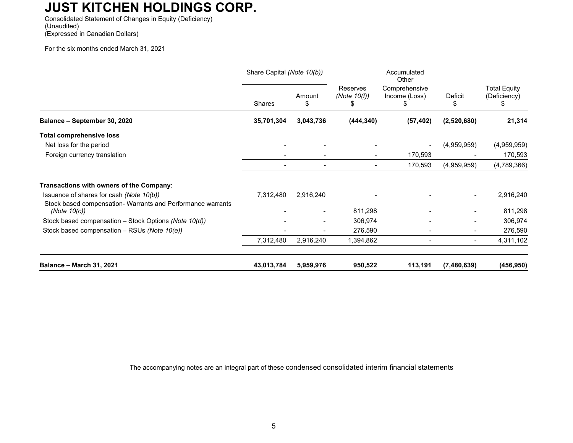Consolidated Statement of Changes in Equity (Deficiency) (Unaudited) (Expressed in Canadian Dollars)

For the six months ended March 31, 2021

|                                                                                                         | Share Capital (Note 10(b)) |                          |                                  | Accumulated<br>Other           |                          |                                     |
|---------------------------------------------------------------------------------------------------------|----------------------------|--------------------------|----------------------------------|--------------------------------|--------------------------|-------------------------------------|
|                                                                                                         | <b>Shares</b>              | Amount<br>\$             | Reserves<br>(Note $10(f)$ )<br>ъ | Comprehensive<br>Income (Loss) | Deficit<br>\$            | <b>Total Equity</b><br>(Deficiency) |
| Balance - September 30, 2020                                                                            | 35,701,304                 | 3,043,736                | (444, 340)                       | (57, 402)                      | (2,520,680)              | 21,314                              |
| <b>Total comprehensive loss</b>                                                                         |                            |                          |                                  |                                |                          |                                     |
| Net loss for the period                                                                                 |                            |                          |                                  |                                | (4,959,959)              | (4,959,959)                         |
| Foreign currency translation                                                                            |                            |                          | $\blacksquare$                   | 170,593                        |                          | 170,593                             |
|                                                                                                         |                            |                          | $\blacksquare$                   | 170,593                        | (4,959,959)              | (4,789,366)                         |
| Transactions with owners of the Company:                                                                |                            |                          |                                  |                                |                          |                                     |
| Issuance of shares for cash (Note 10(b))<br>Stock based compensation- Warrants and Performance warrants | 7,312,480                  | 2,916,240                |                                  |                                |                          | 2,916,240                           |
| (Note $10(c)$ )                                                                                         |                            | $\overline{\phantom{a}}$ | 811,298                          |                                |                          | 811,298                             |
| Stock based compensation - Stock Options (Note 10(d))                                                   |                            | $\overline{\phantom{a}}$ | 306,974                          |                                | $\overline{\phantom{a}}$ | 306,974                             |
| Stock based compensation - RSUs (Note 10(e))                                                            |                            |                          | 276,590                          |                                |                          | 276,590                             |
|                                                                                                         | 7,312,480                  | 2,916,240                | 1,394,862                        | $\overline{\phantom{a}}$       | $\overline{\phantom{a}}$ | 4,311,102                           |
| <b>Balance - March 31, 2021</b>                                                                         | 43,013,784                 | 5,959,976                | 950,522                          | 113,191                        | (7,480,639)              | (456, 950)                          |

The accompanying notes are an integral part of these condensed consolidated interim financial statements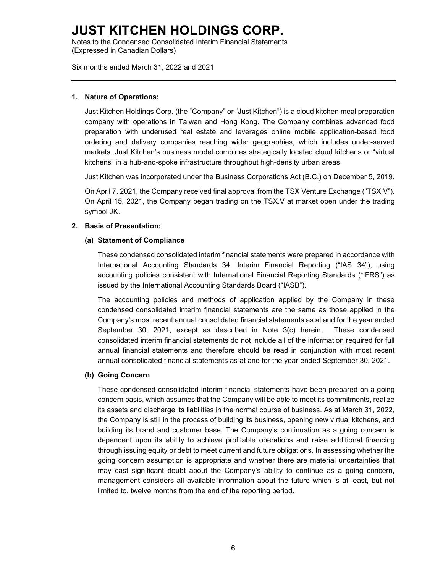Notes to the Condensed Consolidated Interim Financial Statements (Expressed in Canadian Dollars)

Six months ended March 31, 2022 and 2021

#### **1. Nature of Operations:**

Just Kitchen Holdings Corp. (the "Company" or "Just Kitchen") is a cloud kitchen meal preparation company with operations in Taiwan and Hong Kong. The Company combines advanced food preparation with underused real estate and leverages online mobile application-based food ordering and delivery companies reaching wider geographies, which includes under-served markets. Just Kitchen's business model combines strategically located cloud kitchens or "virtual kitchens" in a hub-and-spoke infrastructure throughout high-density urban areas.

Just Kitchen was incorporated under the Business Corporations Act (B.C.) on December 5, 2019.

On April 7, 2021, the Company received final approval from the TSX Venture Exchange ("TSX.V"). On April 15, 2021, the Company began trading on the TSX.V at market open under the trading symbol JK.

#### **2. Basis of Presentation:**

#### **(a) Statement of Compliance**

These condensed consolidated interim financial statements were prepared in accordance with International Accounting Standards 34, Interim Financial Reporting ("IAS 34"), using accounting policies consistent with International Financial Reporting Standards ("IFRS") as issued by the International Accounting Standards Board ("IASB").

The accounting policies and methods of application applied by the Company in these condensed consolidated interim financial statements are the same as those applied in the Company's most recent annual consolidated financial statements as at and for the year ended September 30, 2021, except as described in Note 3(c) herein. These condensed consolidated interim financial statements do not include all of the information required for full annual financial statements and therefore should be read in conjunction with most recent annual consolidated financial statements as at and for the year ended September 30, 2021.

#### **(b) Going Concern**

These condensed consolidated interim financial statements have been prepared on a going concern basis, which assumes that the Company will be able to meet its commitments, realize its assets and discharge its liabilities in the normal course of business. As at March 31, 2022, the Company is still in the process of building its business, opening new virtual kitchens, and building its brand and customer base. The Company's continuation as a going concern is dependent upon its ability to achieve profitable operations and raise additional financing through issuing equity or debt to meet current and future obligations. In assessing whether the going concern assumption is appropriate and whether there are material uncertainties that may cast significant doubt about the Company's ability to continue as a going concern, management considers all available information about the future which is at least, but not limited to, twelve months from the end of the reporting period.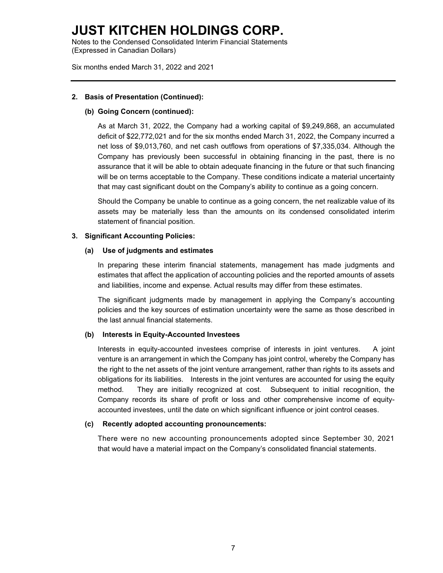Notes to the Condensed Consolidated Interim Financial Statements (Expressed in Canadian Dollars)

Six months ended March 31, 2022 and 2021

#### **2. Basis of Presentation (Continued):**

#### **(b) Going Concern (continued):**

As at March 31, 2022, the Company had a working capital of \$9,249,868, an accumulated deficit of \$22,772,021 and for the six months ended March 31, 2022, the Company incurred a net loss of \$9,013,760, and net cash outflows from operations of \$7,335,034. Although the Company has previously been successful in obtaining financing in the past, there is no assurance that it will be able to obtain adequate financing in the future or that such financing will be on terms acceptable to the Company. These conditions indicate a material uncertainty that may cast significant doubt on the Company's ability to continue as a going concern.

Should the Company be unable to continue as a going concern, the net realizable value of its assets may be materially less than the amounts on its condensed consolidated interim statement of financial position.

#### **3. Significant Accounting Policies:**

#### **(a) Use of judgments and estimates**

In preparing these interim financial statements, management has made judgments and estimates that affect the application of accounting policies and the reported amounts of assets and liabilities, income and expense. Actual results may differ from these estimates.

The significant judgments made by management in applying the Company's accounting policies and the key sources of estimation uncertainty were the same as those described in the last annual financial statements.

#### **(b) Interests in Equity-Accounted Investees**

Interests in equity-accounted investees comprise of interests in joint ventures. A joint venture is an arrangement in which the Company has joint control, whereby the Company has the right to the net assets of the joint venture arrangement, rather than rights to its assets and obligations for its liabilities. Interests in the joint ventures are accounted for using the equity method. They are initially recognized at cost. Subsequent to initial recognition, the Company records its share of profit or loss and other comprehensive income of equityaccounted investees, until the date on which significant influence or joint control ceases.

#### **(c) Recently adopted accounting pronouncements:**

There were no new accounting pronouncements adopted since September 30, 2021 that would have a material impact on the Company's consolidated financial statements.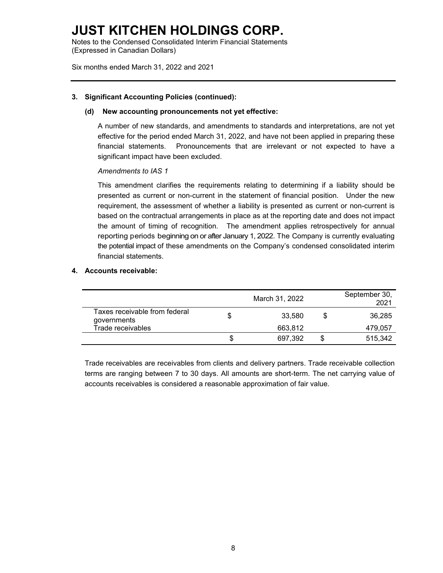Notes to the Condensed Consolidated Interim Financial Statements (Expressed in Canadian Dollars)

Six months ended March 31, 2022 and 2021

#### **3. Significant Accounting Policies (continued):**

#### **(d) New accounting pronouncements not yet effective:**

A number of new standards, and amendments to standards and interpretations, are not yet effective for the period ended March 31, 2022, and have not been applied in preparing these financial statements. Pronouncements that are irrelevant or not expected to have a significant impact have been excluded.

#### *Amendments to IAS 1*

This amendment clarifies the requirements relating to determining if a liability should be presented as current or non-current in the statement of financial position. Under the new requirement, the assessment of whether a liability is presented as current or non-current is based on the contractual arrangements in place as at the reporting date and does not impact the amount of timing of recognition. The amendment applies retrospectively for annual reporting periods beginning on or after January 1, 2022. The Company is currently evaluating the potential impact of these amendments on the Company's condensed consolidated interim financial statements.

#### **4. Accounts receivable:**

|                                              |   | March 31, 2022 | September 30,<br>2021 |
|----------------------------------------------|---|----------------|-----------------------|
| Taxes receivable from federal<br>governments |   | 33.580         | \$<br>36,285          |
| Trade receivables                            |   | 663.812        | 479,057               |
|                                              | S | 697,392        | 515.342               |

Trade receivables are receivables from clients and delivery partners. Trade receivable collection terms are ranging between 7 to 30 days. All amounts are short-term. The net carrying value of accounts receivables is considered a reasonable approximation of fair value.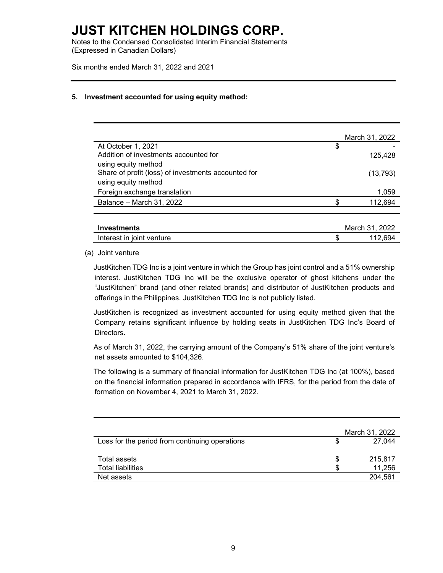Notes to the Condensed Consolidated Interim Financial Statements (Expressed in Canadian Dollars)

Six months ended March 31, 2022 and 2021

#### **5. Investment accounted for using equity method:**

|                                                              | March 31, 2022 |
|--------------------------------------------------------------|----------------|
| At October 1, 2021                                           | \$             |
| Addition of investments accounted for<br>using equity method | 125,428        |
| Share of profit (loss) of investments accounted for          | (13, 793)      |
| using equity method                                          |                |
| Foreign exchange translation                                 | 1,059          |
| Balance - March 31, 2022                                     | 112,694        |
| <b>Investments</b>                                           | March 31, 2022 |
|                                                              |                |

Interest in joint venture the state of the state of the state of the state of the state of the state of the state of the state of the state of the state of the state of the state of the state of the state of the state of t

(a) Joint venture

JustKitchen TDG Inc is a joint venture in which the Group has joint control and a 51% ownership interest. JustKitchen TDG Inc will be the exclusive operator of ghost kitchens under the "JustKitchen" brand (and other related brands) and distributor of JustKitchen products and offerings in the Philippines. JustKitchen TDG Inc is not publicly listed.

JustKitchen is recognized as investment accounted for using equity method given that the Company retains significant influence by holding seats in JustKitchen TDG Inc's Board of Directors.

As of March 31, 2022, the carrying amount of the Company's 51% share of the joint venture's net assets amounted to \$104,326.

The following is a summary of financial information for JustKitchen TDG Inc (at 100%), based on the financial information prepared in accordance with IFRS, for the period from the date of formation on November 4, 2021 to March 31, 2022.

|                                                |    | March 31, 2022 |
|------------------------------------------------|----|----------------|
| Loss for the period from continuing operations |    | 27.044         |
| Total assets                                   | S  | 215,817        |
| <b>Total liabilities</b>                       | \$ | 11,256         |
| Net assets                                     |    | 204,561        |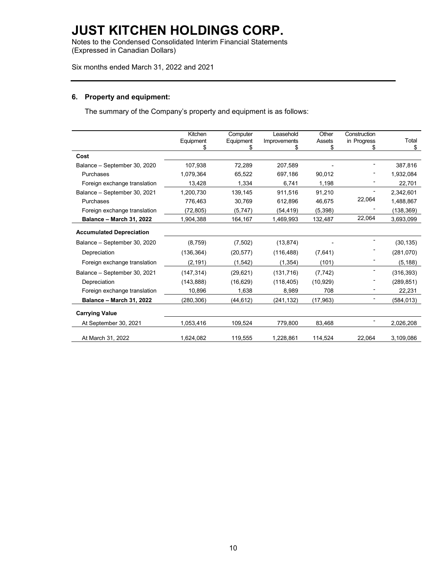Notes to the Condensed Consolidated Interim Financial Statements (Expressed in Canadian Dollars)

Six months ended March 31, 2022 and 2021

#### **6. Property and equipment:**

The summary of the Company's property and equipment is as follows:

|                                 | Kitchen<br>Equipment<br>\$ | Computer<br>Equipment<br>\$ | Leasehold<br>Improvements<br>S | Other<br>Assets<br>\$ | Construction<br>in Progress<br>\$ | Total<br>\$ |
|---------------------------------|----------------------------|-----------------------------|--------------------------------|-----------------------|-----------------------------------|-------------|
| Cost                            |                            |                             |                                |                       |                                   |             |
| Balance - September 30, 2020    | 107,938                    | 72,289                      | 207,589                        |                       |                                   | 387,816     |
| Purchases                       | 1,079,364                  | 65,522                      | 697,186                        | 90,012                |                                   | 1,932,084   |
| Foreign exchange translation    | 13,428                     | 1,334                       | 6,741                          | 1,198                 |                                   | 22,701      |
| Balance - September 30, 2021    | 1,200,730                  | 139,145                     | 911,516                        | 91,210                |                                   | 2,342,601   |
| Purchases                       | 776,463                    | 30,769                      | 612,896                        | 46,675                | 22,064                            | 1,488,867   |
| Foreign exchange translation    | (72, 805)                  | (5,747)                     | (54,419)                       | (5, 398)              |                                   | (138, 369)  |
| <b>Balance - March 31, 2022</b> | 1,904,388                  | 164,167                     | 1,469,993                      | 132,487               | 22,064                            | 3,693,099   |
| <b>Accumulated Depreciation</b> |                            |                             |                                |                       |                                   |             |
| Balance - September 30, 2020    | (8,759)                    | (7,502)                     | (13, 874)                      |                       |                                   | (30, 135)   |
| Depreciation                    | (136, 364)                 | (20, 577)                   | (116, 488)                     | (7,641)               |                                   | (281,070)   |
| Foreign exchange translation    | (2, 191)                   | (1, 542)                    | (1, 354)                       | (101)                 |                                   | (5, 188)    |
| Balance - September 30, 2021    | (147, 314)                 | (29, 621)                   | (131, 716)                     | (7, 742)              |                                   | (316, 393)  |
| Depreciation                    | (143, 888)                 | (16, 629)                   | (118, 405)                     | (10, 929)             |                                   | (289, 851)  |
| Foreign exchange translation    | 10,896                     | 1,638                       | 8,989                          | 708                   |                                   | 22,231      |
| <b>Balance - March 31, 2022</b> | (280, 306)                 | (44, 612)                   | (241, 132)                     | (17, 963)             |                                   | (584, 013)  |
| <b>Carrying Value</b>           |                            |                             |                                |                       |                                   |             |
| At September 30, 2021           | 1,053,416                  | 109,524                     | 779,800                        | 83,468                |                                   | 2,026,208   |
| At March 31, 2022               | 1,624,082                  | 119,555                     | 1,228,861                      | 114,524               | 22,064                            | 3,109,086   |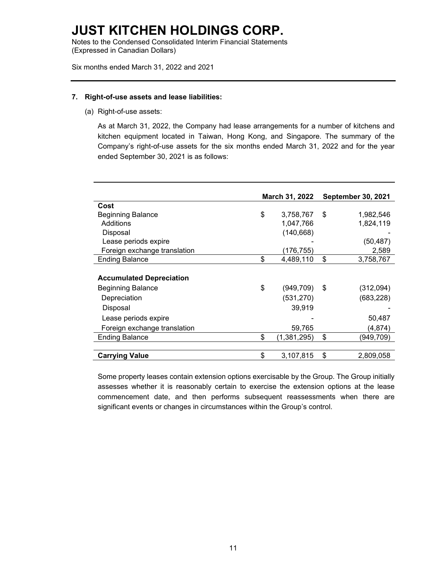Notes to the Condensed Consolidated Interim Financial Statements (Expressed in Canadian Dollars)

Six months ended March 31, 2022 and 2021

#### **7. Right-of-use assets and lease liabilities:**

(a) Right-of-use assets:

As at March 31, 2022, the Company had lease arrangements for a number of kitchens and kitchen equipment located in Taiwan, Hong Kong, and Singapore. The summary of the Company's right-of-use assets for the six months ended March 31, 2022 and for the year ended September 30, 2021 is as follows:

|                                 | March 31, 2022 |             |      | <b>September 30, 2021</b> |
|---------------------------------|----------------|-------------|------|---------------------------|
| Cost                            |                |             |      |                           |
| <b>Beginning Balance</b>        | \$             | 3,758,767   | \$   | 1,982,546                 |
| Additions                       |                | 1,047,766   |      | 1,824,119                 |
| Disposal                        |                | (140, 668)  |      |                           |
| Lease periods expire            |                |             |      | (50,487)                  |
| Foreign exchange translation    |                | (176,755)   |      | 2,589                     |
| <b>Ending Balance</b>           | \$             | 4,489,110   | \$   | 3,758,767                 |
|                                 |                |             |      |                           |
| <b>Accumulated Depreciation</b> |                |             |      |                           |
| <b>Beginning Balance</b>        | \$             | (949, 709)  | - \$ | (312,094)                 |
| Depreciation                    |                | (531, 270)  |      | (683, 228)                |
| Disposal                        |                | 39,919      |      |                           |
| Lease periods expire            |                |             |      | 50,487                    |
| Foreign exchange translation    |                | 59,765      |      | (4,874)                   |
| <b>Ending Balance</b>           | \$             | (1,381,295) | \$   | (949,709)                 |
|                                 |                |             |      |                           |
| <b>Carrying Value</b>           | \$             | 3,107,815   | \$   | 2,809,058                 |

Some property leases contain extension options exercisable by the Group. The Group initially assesses whether it is reasonably certain to exercise the extension options at the lease commencement date, and then performs subsequent reassessments when there are significant events or changes in circumstances within the Group's control.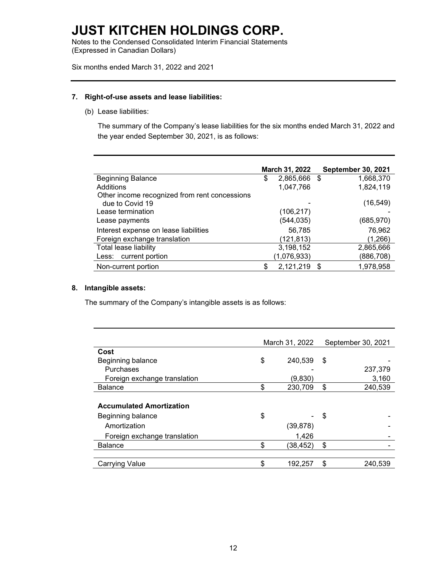Notes to the Condensed Consolidated Interim Financial Statements (Expressed in Canadian Dollars)

Six months ended March 31, 2022 and 2021

#### **7. Right-of-use assets and lease liabilities:**

(b) Lease liabilities:

The summary of the Company's lease liabilities for the six months ended March 31, 2022 and the year ended September 30, 2021, is as follows:

|                                                                  | March 31, 2022 |              | <b>September 30, 2021</b> |
|------------------------------------------------------------------|----------------|--------------|---------------------------|
| <b>Beginning Balance</b>                                         | \$             | 2,865,666 \$ | 1,668,370                 |
| Additions                                                        |                | 1,047,766    | 1,824,119                 |
| Other income recognized from rent concessions<br>due to Covid 19 |                |              | (16, 549)                 |
| Lease termination                                                |                | (106, 217)   |                           |
| Lease payments                                                   |                | (544, 035)   | (685, 970)                |
| Interest expense on lease liabilities                            |                | 56,785       | 76,962                    |
| Foreign exchange translation                                     |                | (121,813)    | (1,266)                   |
| Total lease liability                                            |                | 3,198,152    | 2,865,666                 |
| Less: current portion                                            |                | (1,076,933)  | (886,708)                 |
| Non-current portion                                              | \$             | 2,121,219    | \$<br>1,978,958           |

#### **8. Intangible assets:**

The summary of the Company's intangible assets is as follows:

|                                 | March 31, 2022 |           |    | September 30, 2021 |
|---------------------------------|----------------|-----------|----|--------------------|
| Cost                            |                |           |    |                    |
| Beginning balance               | \$             | 240,539   | S  |                    |
| Purchases                       |                |           |    | 237,379            |
| Foreign exchange translation    |                | (9,830)   |    | 3,160              |
| <b>Balance</b>                  | \$             | 230,709   | \$ | 240,539            |
|                                 |                |           |    |                    |
| <b>Accumulated Amortization</b> |                |           |    |                    |
| Beginning balance               | \$             |           | S  |                    |
| Amortization                    |                | (39, 878) |    |                    |
| Foreign exchange translation    |                | 1,426     |    |                    |
| <b>Balance</b>                  | \$             | (38,452)  | \$ |                    |
|                                 |                |           |    |                    |
| <b>Carrying Value</b>           | \$             | 192.257   | \$ | 240,539            |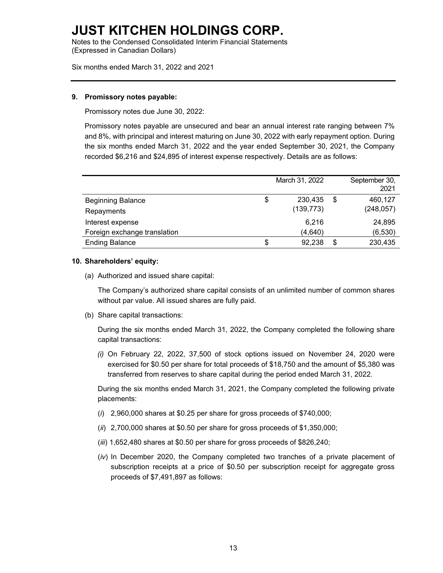Notes to the Condensed Consolidated Interim Financial Statements (Expressed in Canadian Dollars)

Six months ended March 31, 2022 and 2021

#### **9. Promissory notes payable:**

Promissory notes due June 30, 2022:

Promissory notes payable are unsecured and bear an annual interest rate ranging between 7% and 8%, with principal and interest maturing on June 30, 2022 with early repayment option. During the six months ended March 31, 2022 and the year ended September 30, 2021, the Company recorded \$6,216 and \$24,895 of interest expense respectively. Details are as follows:

|                              | March 31, 2022 |    | September 30,<br>2021 |
|------------------------------|----------------|----|-----------------------|
| <b>Beginning Balance</b>     | \$<br>230.435  | -S | 460,127               |
| Repayments                   | (139, 773)     |    | (248, 057)            |
| Interest expense             | 6,216          |    | 24,895                |
| Foreign exchange translation | (4,640)        |    | (6, 530)              |
| <b>Ending Balance</b>        | \$<br>92.238   | S  | 230,435               |

#### **10. Shareholders' equity:**

(a) Authorized and issued share capital:

The Company's authorized share capital consists of an unlimited number of common shares without par value. All issued shares are fully paid.

(b) Share capital transactions:

During the six months ended March 31, 2022, the Company completed the following share capital transactions:

*(i)* On February 22, 2022, 37,500 of stock options issued on November 24, 2020 were exercised for \$0.50 per share for total proceeds of \$18,750 and the amount of \$5,380 was transferred from reserves to share capital during the period ended March 31, 2022.

During the six months ended March 31, 2021, the Company completed the following private placements:

- (*i*) 2,960,000 shares at \$0.25 per share for gross proceeds of \$740,000;
- (*ii*) 2,700,000 shares at \$0.50 per share for gross proceeds of \$1,350,000;
- (*iii*) 1,652,480 shares at \$0.50 per share for gross proceeds of \$826,240;
- (*iv*) In December 2020, the Company completed two tranches of a private placement of subscription receipts at a price of \$0.50 per subscription receipt for aggregate gross proceeds of \$7,491,897 as follows: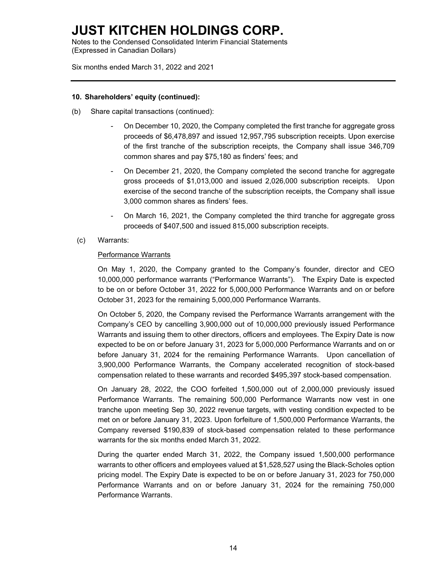Notes to the Condensed Consolidated Interim Financial Statements (Expressed in Canadian Dollars)

Six months ended March 31, 2022 and 2021

#### **10. Shareholders' equity (continued):**

- (b) Share capital transactions (continued):
	- On December 10, 2020, the Company completed the first tranche for aggregate gross proceeds of \$6,478,897 and issued 12,957,795 subscription receipts. Upon exercise of the first tranche of the subscription receipts, the Company shall issue 346,709 common shares and pay \$75,180 as finders' fees; and
	- On December 21, 2020, the Company completed the second tranche for aggregate gross proceeds of \$1,013,000 and issued 2,026,000 subscription receipts. Upon exercise of the second tranche of the subscription receipts, the Company shall issue 3,000 common shares as finders' fees.
	- On March 16, 2021, the Company completed the third tranche for aggregate gross proceeds of \$407,500 and issued 815,000 subscription receipts.
	- (c) Warrants:

#### Performance Warrants

On May 1, 2020, the Company granted to the Company's founder, director and CEO 10,000,000 performance warrants ("Performance Warrants"). The Expiry Date is expected to be on or before October 31, 2022 for 5,000,000 Performance Warrants and on or before October 31, 2023 for the remaining 5,000,000 Performance Warrants.

On October 5, 2020, the Company revised the Performance Warrants arrangement with the Company's CEO by cancelling 3,900,000 out of 10,000,000 previously issued Performance Warrants and issuing them to other directors, officers and employees. The Expiry Date is now expected to be on or before January 31, 2023 for 5,000,000 Performance Warrants and on or before January 31, 2024 for the remaining Performance Warrants. Upon cancellation of 3,900,000 Performance Warrants, the Company accelerated recognition of stock-based compensation related to these warrants and recorded \$495,397 stock-based compensation.

On January 28, 2022, the COO forfeited 1,500,000 out of 2,000,000 previously issued Performance Warrants. The remaining 500,000 Performance Warrants now vest in one tranche upon meeting Sep 30, 2022 revenue targets, with vesting condition expected to be met on or before January 31, 2023. Upon forfeiture of 1,500,000 Performance Warrants, the Company reversed \$190,839 of stock-based compensation related to these performance warrants for the six months ended March 31, 2022.

During the quarter ended March 31, 2022, the Company issued 1,500,000 performance warrants to other officers and employees valued at \$1,528,527 using the Black-Scholes option pricing model. The Expiry Date is expected to be on or before January 31, 2023 for 750,000 Performance Warrants and on or before January 31, 2024 for the remaining 750,000 Performance Warrants.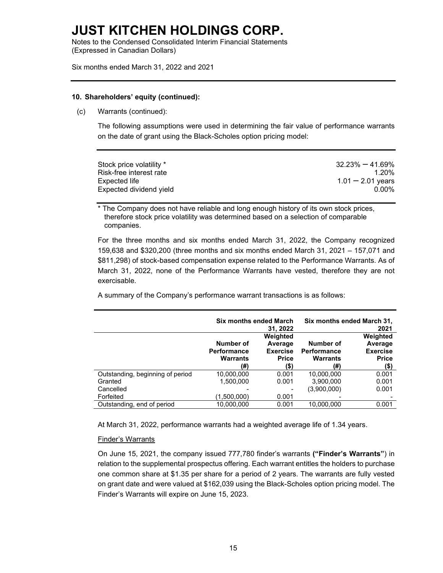Notes to the Condensed Consolidated Interim Financial Statements (Expressed in Canadian Dollars)

Six months ended March 31, 2022 and 2021

#### **10. Shareholders' equity (continued):**

(c) Warrants (continued):

The following assumptions were used in determining the fair value of performance warrants on the date of grant using the Black-Scholes option pricing model:

| Stock price volatility * | $32.23\% - 41.69\%$ |
|--------------------------|---------------------|
| Risk-free interest rate  | 1.20%               |
| Expected life            | $1.01 - 2.01$ years |
| Expected dividend yield  | 0.00%               |
|                          |                     |

\* The Company does not have reliable and long enough history of its own stock prices, therefore stock price volatility was determined based on a selection of comparable companies.

For the three months and six months ended March 31, 2022, the Company recognized 159,638 and \$320,200 (three months and six months ended March 31, 2021 – 157,071 and \$811,298) of stock-based compensation expense related to the Performance Warrants. As of March 31, 2022, none of the Performance Warrants have vested, therefore they are not exercisable.

A summary of the Company's performance warrant transactions is as follows:

|                                  | <b>Six months ended March</b>                      | 31.2022                                                        | Six months ended March 31,<br>2021                        |                                                                |  |
|----------------------------------|----------------------------------------------------|----------------------------------------------------------------|-----------------------------------------------------------|----------------------------------------------------------------|--|
|                                  | Number of<br><b>Performance</b><br>Warrants<br>(#) | Weighted<br>Average<br><b>Exercise</b><br><b>Price</b><br>(\$) | Number of<br><b>Performance</b><br><b>Warrants</b><br>(#) | Weighted<br>Average<br><b>Exercise</b><br><b>Price</b><br>(\$) |  |
| Outstanding, beginning of period | 10,000,000                                         | 0.001                                                          | 10,000,000                                                | 0.001                                                          |  |
| Granted                          | 1,500,000                                          | 0.001                                                          | 3,900,000                                                 | 0.001                                                          |  |
| Cancelled                        |                                                    |                                                                | (3,900,000)                                               | 0.001                                                          |  |
| Forfeited                        | (1,500,000)                                        | 0.001                                                          |                                                           |                                                                |  |
| Outstanding, end of period       | 10,000,000                                         | 0.001                                                          | 10.000.000                                                | 0.001                                                          |  |

At March 31, 2022, performance warrants had a weighted average life of 1.34 years.

#### Finder's Warrants

On June 15, 2021, the company issued 777,780 finder's warrants **("Finder's Warrants"**) in relation to the supplemental prospectus offering. Each warrant entitles the holders to purchase one common share at \$1.35 per share for a period of 2 years. The warrants are fully vested on grant date and were valued at \$162,039 using the Black-Scholes option pricing model. The Finder's Warrants will expire on June 15, 2023.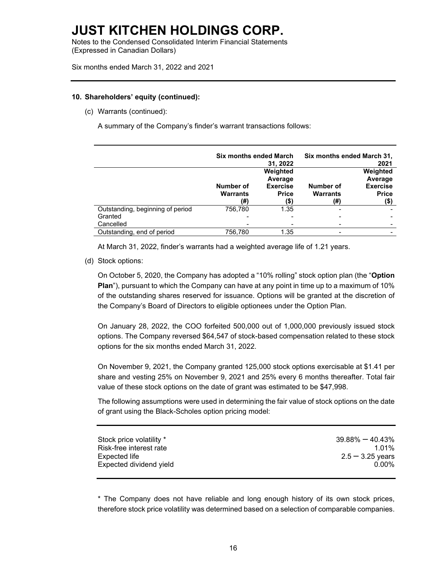Notes to the Condensed Consolidated Interim Financial Statements (Expressed in Canadian Dollars)

Six months ended March 31, 2022 and 2021

#### **10. Shareholders' equity (continued):**

(c) Warrants (continued):

A summary of the Company's finder's warrant transactions follows:

|                                  | <b>Six months ended March</b>       | 31.2022                                                        | Six months ended March 31,<br>2021  |                                                                |
|----------------------------------|-------------------------------------|----------------------------------------------------------------|-------------------------------------|----------------------------------------------------------------|
|                                  | Number of<br><b>Warrants</b><br>(#) | Weighted<br>Average<br><b>Exercise</b><br><b>Price</b><br>(\$) | Number of<br><b>Warrants</b><br>(#) | Weighted<br>Average<br><b>Exercise</b><br><b>Price</b><br>(\$) |
| Outstanding, beginning of period | 756.780                             | 1.35                                                           |                                     |                                                                |
| Granted                          |                                     |                                                                |                                     |                                                                |
| Cancelled                        |                                     |                                                                |                                     |                                                                |
| Outstanding, end of period       | 756,780                             | 1.35                                                           |                                     |                                                                |

At March 31, 2022, finder's warrants had a weighted average life of 1.21 years.

(d) Stock options:

On October 5, 2020, the Company has adopted a "10% rolling" stock option plan (the "**Option Plan**"), pursuant to which the Company can have at any point in time up to a maximum of 10% of the outstanding shares reserved for issuance. Options will be granted at the discretion of the Company's Board of Directors to eligible optionees under the Option Plan.

On January 28, 2022, the COO forfeited 500,000 out of 1,000,000 previously issued stock options. The Company reversed \$64,547 of stock-based compensation related to these stock options for the six months ended March 31, 2022.

On November 9, 2021, the Company granted 125,000 stock options exercisable at \$1.41 per share and vesting 25% on November 9, 2021 and 25% every 6 months thereafter. Total fair value of these stock options on the date of grant was estimated to be \$47,998.

The following assumptions were used in determining the fair value of stock options on the date of grant using the Black-Scholes option pricing model:

| Stock price volatility * | $39.88\% - 40.43\%$ |
|--------------------------|---------------------|
| Risk-free interest rate  | $1.01\%$            |
| Expected life            | $2.5 - 3.25$ years  |
| Expected dividend yield  | 0.00%               |
|                          |                     |

\* The Company does not have reliable and long enough history of its own stock prices, therefore stock price volatility was determined based on a selection of comparable companies.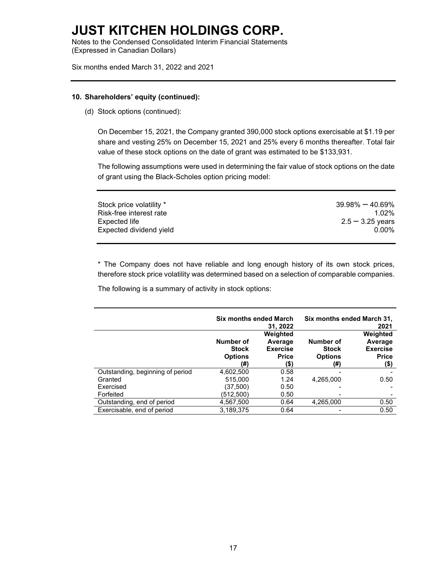Notes to the Condensed Consolidated Interim Financial Statements (Expressed in Canadian Dollars)

Six months ended March 31, 2022 and 2021

#### **10. Shareholders' equity (continued):**

(d) Stock options (continued):

On December 15, 2021, the Company granted 390,000 stock options exercisable at \$1.19 per share and vesting 25% on December 15, 2021 and 25% every 6 months thereafter. Total fair value of these stock options on the date of grant was estimated to be \$133,931.

The following assumptions were used in determining the fair value of stock options on the date of grant using the Black-Scholes option pricing model:

| Stock price volatility * | $39.98\% - 40.69\%$ |
|--------------------------|---------------------|
| Risk-free interest rate  | $1.02\%$            |
| Expected life            | $2.5 - 3.25$ years  |
| Expected dividend yield  | 0.00%               |

\* The Company does not have reliable and long enough history of its own stock prices, therefore stock price volatility was determined based on a selection of comparable companies.

The following is a summary of activity in stock options:

|                                  | <b>Six months ended March</b>                      | 31, 2022                                                       | Six months ended March 31,<br>2021                 |                                                                |  |
|----------------------------------|----------------------------------------------------|----------------------------------------------------------------|----------------------------------------------------|----------------------------------------------------------------|--|
|                                  | Number of<br><b>Stock</b><br><b>Options</b><br>(#) | Weighted<br>Average<br><b>Exercise</b><br><b>Price</b><br>(\$) | Number of<br><b>Stock</b><br><b>Options</b><br>(#) | Weighted<br>Average<br><b>Exercise</b><br><b>Price</b><br>(\$) |  |
| Outstanding, beginning of period | 4,602,500                                          | 0.58                                                           |                                                    |                                                                |  |
| Granted                          | 515.000                                            | 1.24                                                           | 4,265,000                                          | 0.50                                                           |  |
| Exercised                        | (37,500)                                           | 0.50                                                           |                                                    |                                                                |  |
| Forfeited                        | (512,500)                                          | 0.50                                                           |                                                    |                                                                |  |
| Outstanding, end of period       | 4,567,500                                          | 0.64                                                           | 4,265,000                                          | 0.50                                                           |  |
| Exercisable, end of period       | 3,189,375                                          | 0.64                                                           |                                                    | 0.50                                                           |  |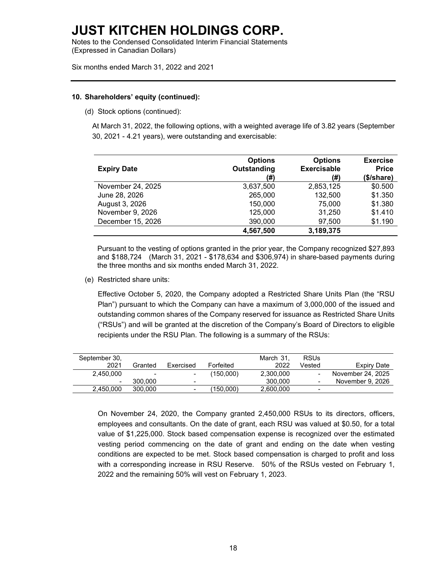Notes to the Condensed Consolidated Interim Financial Statements (Expressed in Canadian Dollars)

Six months ended March 31, 2022 and 2021

#### **10. Shareholders' equity (continued):**

(d) Stock options (continued):

At March 31, 2022, the following options, with a weighted average life of 3.82 years (September 30, 2021 - 4.21 years), were outstanding and exercisable:

| <b>Expiry Date</b> | <b>Options</b><br>Outstanding<br>(#) | <b>Options</b><br><b>Exercisable</b><br>(#) | <b>Exercise</b><br><b>Price</b><br>(\$/share) |
|--------------------|--------------------------------------|---------------------------------------------|-----------------------------------------------|
| November 24, 2025  | 3,637,500                            | 2,853,125                                   | \$0.500                                       |
| June 28, 2026      | 265,000                              | 132,500                                     | \$1.350                                       |
| August 3, 2026     | 150,000                              | 75,000                                      | \$1.380                                       |
| November 9, 2026   | 125,000                              | 31,250                                      | \$1.410                                       |
| December 15, 2026  | 390,000                              | 97,500                                      | \$1.190                                       |
|                    | 4,567,500                            | 3,189,375                                   |                                               |

Pursuant to the vesting of options granted in the prior year, the Company recognized \$27,893 and \$188,724 (March 31, 2021 - \$178,634 and \$306,974) in share-based payments during the three months and six months ended March 31, 2022.

(e) Restricted share units:

Effective October 5, 2020, the Company adopted a Restricted Share Units Plan (the "RSU Plan") pursuant to which the Company can have a maximum of 3,000,000 of the issued and outstanding common shares of the Company reserved for issuance as Restricted Share Units ("RSUs") and will be granted at the discretion of the Company's Board of Directors to eligible recipients under the RSU Plan. The following is a summary of the RSUs:

| September 30, |         |                          |           | March 31. | <b>RSUs</b>              |                   |
|---------------|---------|--------------------------|-----------|-----------|--------------------------|-------------------|
| 2021          | Granted | Exercised                | Forfeited | 2022      | Vested                   | Expiry Date       |
| 2.450.000     |         |                          | (150,000) | 2.300.000 | $\blacksquare$           | November 24, 2025 |
|               | 300.000 | $\overline{\phantom{0}}$ |           | 300,000   | $\overline{\phantom{a}}$ | November 9, 2026  |
| 2.450.000     | 300,000 | $\overline{\phantom{0}}$ | (150,000) | 2,600,000 | $\overline{\phantom{a}}$ |                   |

On November 24, 2020, the Company granted 2,450,000 RSUs to its directors, officers, employees and consultants. On the date of grant, each RSU was valued at \$0.50, for a total value of \$1,225,000. Stock based compensation expense is recognized over the estimated vesting period commencing on the date of grant and ending on the date when vesting conditions are expected to be met. Stock based compensation is charged to profit and loss with a corresponding increase in RSU Reserve. 50% of the RSUs vested on February 1, 2022 and the remaining 50% will vest on February 1, 2023.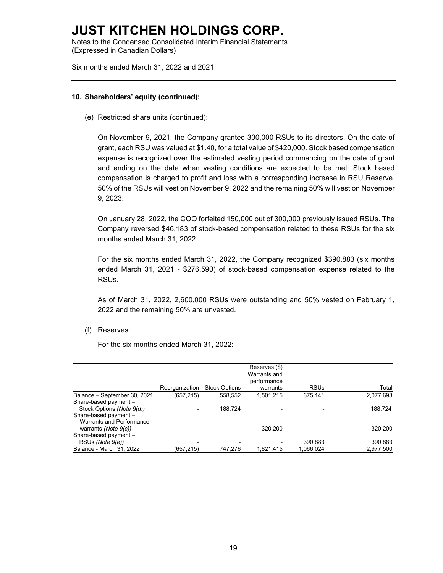Notes to the Condensed Consolidated Interim Financial Statements (Expressed in Canadian Dollars)

Six months ended March 31, 2022 and 2021

#### **10. Shareholders' equity (continued):**

(e) Restricted share units (continued):

On November 9, 2021, the Company granted 300,000 RSUs to its directors. On the date of grant, each RSU was valued at \$1.40, for a total value of \$420,000. Stock based compensation expense is recognized over the estimated vesting period commencing on the date of grant and ending on the date when vesting conditions are expected to be met. Stock based compensation is charged to profit and loss with a corresponding increase in RSU Reserve. 50% of the RSUs will vest on November 9, 2022 and the remaining 50% will vest on November 9, 2023.

On January 28, 2022, the COO forfeited 150,000 out of 300,000 previously issued RSUs. The Company reversed \$46,183 of stock-based compensation related to these RSUs for the six months ended March 31, 2022.

For the six months ended March 31, 2022, the Company recognized \$390,883 (six months ended March 31, 2021 - \$276,590) of stock-based compensation expense related to the RSUs.

As of March 31, 2022, 2,600,000 RSUs were outstanding and 50% vested on February 1, 2022 and the remaining 50% are unvested.

(f) Reserves:

For the six months ended March 31, 2022:

|                                                    |                |                      | Reserves (\$)                           |             |           |
|----------------------------------------------------|----------------|----------------------|-----------------------------------------|-------------|-----------|
|                                                    | Reorganization | <b>Stock Options</b> | Warrants and<br>performance<br>warrants | <b>RSUs</b> | Total     |
| Balance - September 30, 2021                       | (657, 215)     | 558,552              | 1,501,215                               | 675,141     | 2,077,693 |
| Share-based payment -<br>Stock Options (Note 9(d)) |                | 188.724              |                                         |             | 188,724   |
| Share-based payment -<br>Warrants and Performance  |                |                      |                                         |             |           |
| warrants (Note $9(c)$ )                            |                |                      | 320.200                                 |             | 320,200   |
| Share-based payment -                              |                |                      |                                         |             |           |
| RSUs (Note 9(e))                                   |                |                      |                                         | 390,883     | 390,883   |
| Balance - March 31, 2022                           | (657, 215)     | 747.276              | 1,821,415                               | 1,066,024   | 2.977.500 |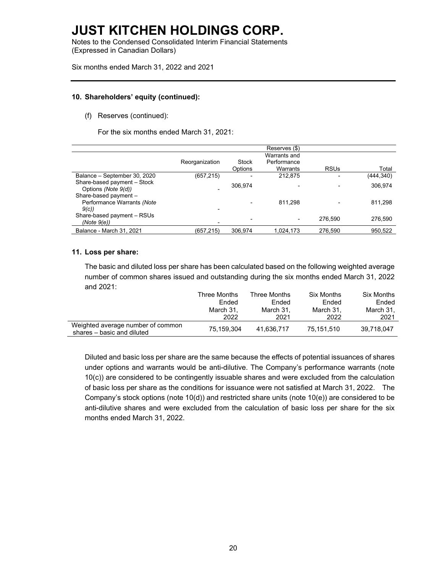Notes to the Condensed Consolidated Interim Financial Statements (Expressed in Canadian Dollars)

Six months ended March 31, 2022 and 2021

#### **10. Shareholders' equity (continued):**

(f) Reserves (continued):

For the six months ended March 31, 2021:

|                                                             |                |                | Reserves (\$) |             |           |
|-------------------------------------------------------------|----------------|----------------|---------------|-------------|-----------|
|                                                             |                |                | Warrants and  |             |           |
|                                                             | Reorganization | Stock          | Performance   |             |           |
|                                                             |                | <b>Options</b> | Warrants      | <b>RSUs</b> | Total     |
| Balance - September 30, 2020                                | (657,215)      | -              | 212,875       |             | (444,340) |
| Share-based payment - Stock<br>Options (Note 9(d))          |                | 306.974        |               |             | 306,974   |
| Share-based payment -<br>Performance Warrants (Note<br>9(c) |                |                | 811.298       |             | 811,298   |
| Share-based payment - RSUs<br>(Note 9(e))                   |                | -              | ۰             | 276.590     | 276.590   |
| Balance - March 31, 2021                                    | (657,215)      | 306.974        | 1,024,173     | 276,590     | 950,522   |
|                                                             |                |                |               |             |           |

#### **11. Loss per share:**

The basic and diluted loss per share has been calculated based on the following weighted average number of common shares issued and outstanding during the six months ended March 31, 2022 and 2021:

|                                                                 | Three Months | Three Months | <b>Six Months</b> | Six Months |
|-----------------------------------------------------------------|--------------|--------------|-------------------|------------|
|                                                                 | Ended        | Ended        | Ended             | Ended      |
|                                                                 | March 31.    | March 31.    | March 31.         | March 31.  |
|                                                                 | 2022         | 2021         | 2022              | 2021       |
| Weighted average number of common<br>shares - basic and diluted | 75.159.304   | 41.636.717   | 75.151.510        | 39.718.047 |

Diluted and basic loss per share are the same because the effects of potential issuances of shares under options and warrants would be anti-dilutive. The Company's performance warrants (note 10(c)) are considered to be contingently issuable shares and were excluded from the calculation of basic loss per share as the conditions for issuance were not satisfied at March 31, 2022. The Company's stock options (note 10(d)) and restricted share units (note 10(e)) are considered to be anti-dilutive shares and were excluded from the calculation of basic loss per share for the six months ended March 31, 2022.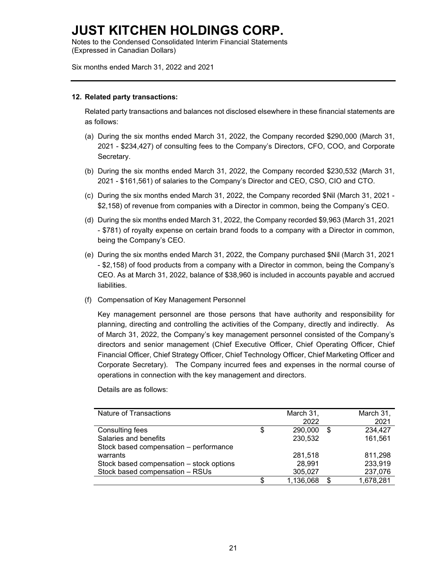Notes to the Condensed Consolidated Interim Financial Statements (Expressed in Canadian Dollars)

Six months ended March 31, 2022 and 2021

#### **12. Related party transactions:**

Related party transactions and balances not disclosed elsewhere in these financial statements are as follows:

- (a) During the six months ended March 31, 2022, the Company recorded \$290,000 (March 31, 2021 - \$234,427) of consulting fees to the Company's Directors, CFO, COO, and Corporate Secretary.
- (b) During the six months ended March 31, 2022, the Company recorded \$230,532 (March 31, 2021 - \$161,561) of salaries to the Company's Director and CEO, CSO, CIO and CTO.
- (c) During the six months ended March 31, 2022, the Company recorded \$Nil (March 31, 2021 \$2,158) of revenue from companies with a Director in common, being the Company's CEO.
- (d) During the six months ended March 31, 2022, the Company recorded \$9,963 (March 31, 2021 - \$781) of royalty expense on certain brand foods to a company with a Director in common, being the Company's CEO.
- (e) During the six months ended March 31, 2022, the Company purchased \$Nil (March 31, 2021 - \$2,158) of food products from a company with a Director in common, being the Company's CEO. As at March 31, 2022, balance of \$38,960 is included in accounts payable and accrued liabilities.
- (f) Compensation of Key Management Personnel

Key management personnel are those persons that have authority and responsibility for planning, directing and controlling the activities of the Company, directly and indirectly. As of March 31, 2022, the Company's key management personnel consisted of the Company's directors and senior management (Chief Executive Officer, Chief Operating Officer, Chief Financial Officer, Chief Strategy Officer, Chief Technology Officer, Chief Marketing Officer and Corporate Secretary). The Company incurred fees and expenses in the normal course of operations in connection with the key management and directors.

| Nature of Transactions                   | March 31,<br>2022 | March 31,<br>2021 |
|------------------------------------------|-------------------|-------------------|
| Consulting fees                          | \$<br>290,000     | \$<br>234,427     |
| Salaries and benefits                    | 230,532           | 161,561           |
| Stock based compensation - performance   |                   |                   |
| warrants                                 | 281,518           | 811,298           |
| Stock based compensation - stock options | 28,991            | 233,919           |
| Stock based compensation - RSUs          | 305,027           | 237,076           |
|                                          | \$<br>1,136,068   | \$<br>1,678,281   |

Details are as follows: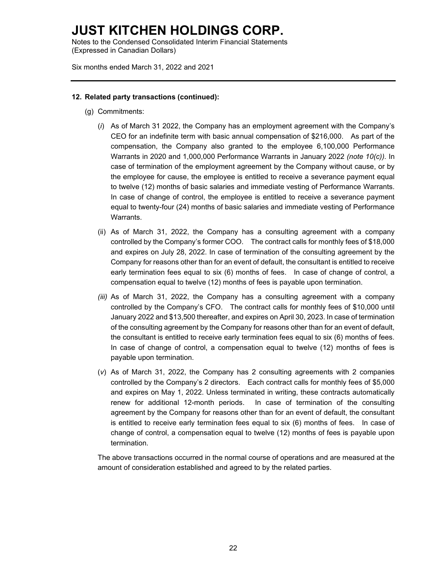Notes to the Condensed Consolidated Interim Financial Statements (Expressed in Canadian Dollars)

Six months ended March 31, 2022 and 2021

#### **12. Related party transactions (continued):**

- (g) Commitments:
	- (*i*) As of March 31 2022, the Company has an employment agreement with the Company's CEO for an indefinite term with basic annual compensation of \$216,000. As part of the compensation, the Company also granted to the employee 6,100,000 Performance Warrants in 2020 and 1,000,000 Performance Warrants in January 2022 *(note 10(c)).* In case of termination of the employment agreement by the Company without cause, or by the employee for cause, the employee is entitled to receive a severance payment equal to twelve (12) months of basic salaries and immediate vesting of Performance Warrants. In case of change of control, the employee is entitled to receive a severance payment equal to twenty-four (24) months of basic salaries and immediate vesting of Performance Warrants.
	- (ii) As of March 31, 2022, the Company has a consulting agreement with a company controlled by the Company's former COO. The contract calls for monthly fees of \$18,000 and expires on July 28, 2022. In case of termination of the consulting agreement by the Company for reasons other than for an event of default, the consultant is entitled to receive early termination fees equal to six (6) months of fees. In case of change of control, a compensation equal to twelve (12) months of fees is payable upon termination.
	- *(iii)* As of March 31, 2022, the Company has a consulting agreement with a company controlled by the Company's CFO. The contract calls for monthly fees of \$10,000 until January 2022 and \$13,500 thereafter, and expires on April 30, 2023. In case of termination of the consulting agreement by the Company for reasons other than for an event of default, the consultant is entitled to receive early termination fees equal to six (6) months of fees. In case of change of control, a compensation equal to twelve (12) months of fees is payable upon termination.
	- (*v*) As of March 31, 2022, the Company has 2 consulting agreements with 2 companies controlled by the Company's 2 directors. Each contract calls for monthly fees of \$5,000 and expires on May 1, 2022. Unless terminated in writing, these contracts automatically renew for additional 12-month periods. In case of termination of the consulting agreement by the Company for reasons other than for an event of default, the consultant is entitled to receive early termination fees equal to six (6) months of fees. In case of change of control, a compensation equal to twelve (12) months of fees is payable upon termination.

The above transactions occurred in the normal course of operations and are measured at the amount of consideration established and agreed to by the related parties.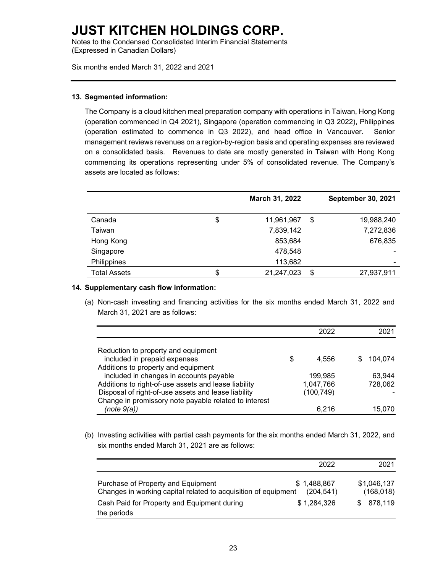Notes to the Condensed Consolidated Interim Financial Statements (Expressed in Canadian Dollars)

Six months ended March 31, 2022 and 2021

#### **13. Segmented information:**

The Company is a cloud kitchen meal preparation company with operations in Taiwan, Hong Kong (operation commenced in Q4 2021), Singapore (operation commencing in Q3 2022), Philippines (operation estimated to commence in Q3 2022), and head office in Vancouver. Senior management reviews revenues on a region-by-region basis and operating expenses are reviewed on a consolidated basis. Revenues to date are mostly generated in Taiwan with Hong Kong commencing its operations representing under 5% of consolidated revenue. The Company's assets are located as follows:

|                     | March 31, 2022   | <b>September 30, 2021</b> |
|---------------------|------------------|---------------------------|
| Canada              | \$<br>11,961,967 | \$<br>19,988,240          |
| Taiwan              | 7,839,142        | 7,272,836                 |
| Hong Kong           | 853,684          | 676,835                   |
| Singapore           | 478,548          | ۰                         |
| Philippines         | 113,682          | ۰                         |
| <b>Total Assets</b> | 21,247,023       | \$<br>27,937,911          |

#### **14. Supplementary cash flow information:**

(a) Non-cash investing and financing activities for the six months ended March 31, 2022 and March 31, 2021 are as follows:

|                                                       |   | 2022       | 2021    |
|-------------------------------------------------------|---|------------|---------|
|                                                       |   |            |         |
| Reduction to property and equipment                   |   |            |         |
| included in prepaid expenses                          | S | 4.556      | 104,074 |
| Additions to property and equipment                   |   |            |         |
| included in changes in accounts payable               |   | 199,985    | 63.944  |
| Additions to right-of-use assets and lease liability  |   | 1,047,766  | 728,062 |
| Disposal of right-of-use assets and lease liability   |   | (100, 749) |         |
| Change in promissory note payable related to interest |   |            |         |
| (note 9(a))                                           |   | 6.216      | 15,070  |

(b) Investing activities with partial cash payments for the six months ended March 31, 2022, and six months ended March 31, 2021 are as follows:

|                                                                                                      | 2022                     | 2021                      |
|------------------------------------------------------------------------------------------------------|--------------------------|---------------------------|
| Purchase of Property and Equipment<br>Changes in working capital related to acquisition of equipment | \$1,488,867<br>(204.541) | \$1,046,137<br>(168, 018) |
| Cash Paid for Property and Equipment during                                                          | \$1,284,326              | \$878,119                 |
| the periods                                                                                          |                          |                           |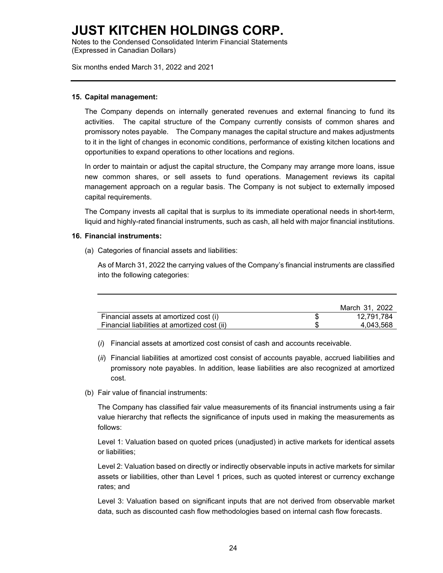Notes to the Condensed Consolidated Interim Financial Statements (Expressed in Canadian Dollars)

Six months ended March 31, 2022 and 2021

#### **15. Capital management:**

The Company depends on internally generated revenues and external financing to fund its activities. The capital structure of the Company currently consists of common shares and promissory notes payable. The Company manages the capital structure and makes adjustments to it in the light of changes in economic conditions, performance of existing kitchen locations and opportunities to expand operations to other locations and regions.

In order to maintain or adjust the capital structure, the Company may arrange more loans, issue new common shares, or sell assets to fund operations. Management reviews its capital management approach on a regular basis. The Company is not subject to externally imposed capital requirements.

The Company invests all capital that is surplus to its immediate operational needs in short-term, liquid and highly-rated financial instruments, such as cash, all held with major financial institutions.

#### **16. Financial instruments:**

(a) Categories of financial assets and liabilities:

As of March 31, 2022 the carrying values of the Company's financial instruments are classified into the following categories:

|                                              | March 31, 2022 |
|----------------------------------------------|----------------|
| Financial assets at amortized cost (i)       | 12.791.784     |
| Financial liabilities at amortized cost (ii) | 4.043.568      |

- (*i*) Financial assets at amortized cost consist of cash and accounts receivable.
- (*ii*) Financial liabilities at amortized cost consist of accounts payable, accrued liabilities and promissory note payables. In addition, lease liabilities are also recognized at amortized cost.
- (b) Fair value of financial instruments:

The Company has classified fair value measurements of its financial instruments using a fair value hierarchy that reflects the significance of inputs used in making the measurements as follows:

Level 1: Valuation based on quoted prices (unadjusted) in active markets for identical assets or liabilities;

Level 2: Valuation based on directly or indirectly observable inputs in active markets for similar assets or liabilities, other than Level 1 prices, such as quoted interest or currency exchange rates; and

Level 3: Valuation based on significant inputs that are not derived from observable market data, such as discounted cash flow methodologies based on internal cash flow forecasts.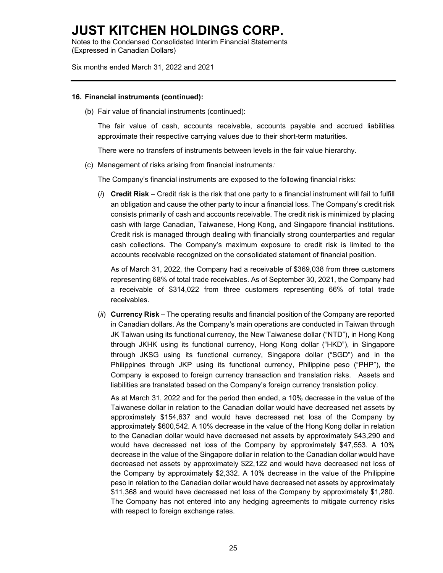Notes to the Condensed Consolidated Interim Financial Statements (Expressed in Canadian Dollars)

Six months ended March 31, 2022 and 2021

#### **16. Financial instruments (continued):**

(b) Fair value of financial instruments (continued):

The fair value of cash, accounts receivable, accounts payable and accrued liabilities approximate their respective carrying values due to their short-term maturities.

There were no transfers of instruments between levels in the fair value hierarchy.

(c) Management of risks arising from financial instruments*:*

The Company's financial instruments are exposed to the following financial risks:

(*i*) **Credit Risk** – Credit risk is the risk that one party to a financial instrument will fail to fulfill an obligation and cause the other party to incur a financial loss. The Company's credit risk consists primarily of cash and accounts receivable. The credit risk is minimized by placing cash with large Canadian, Taiwanese, Hong Kong, and Singapore financial institutions. Credit risk is managed through dealing with financially strong counterparties and regular cash collections. The Company's maximum exposure to credit risk is limited to the accounts receivable recognized on the consolidated statement of financial position.

As of March 31, 2022, the Company had a receivable of \$369,038 from three customers representing 68% of total trade receivables. As of September 30, 2021, the Company had a receivable of \$314,022 from three customers representing 66% of total trade receivables.

(*ii*) **Currency Risk** – The operating results and financial position of the Company are reported in Canadian dollars. As the Company's main operations are conducted in Taiwan through JK Taiwan using its functional currency, the New Taiwanese dollar ("NTD"), in Hong Kong through JKHK using its functional currency, Hong Kong dollar ("HKD"), in Singapore through JKSG using its functional currency, Singapore dollar ("SGD") and in the Philippines through JKP using its functional currency, Philippine peso ("PHP"), the Company is exposed to foreign currency transaction and translation risks. Assets and liabilities are translated based on the Company's foreign currency translation policy.

As at March 31, 2022 and for the period then ended, a 10% decrease in the value of the Taiwanese dollar in relation to the Canadian dollar would have decreased net assets by approximately \$154,637 and would have decreased net loss of the Company by approximately \$600,542. A 10% decrease in the value of the Hong Kong dollar in relation to the Canadian dollar would have decreased net assets by approximately \$43,290 and would have decreased net loss of the Company by approximately \$47,553. A 10% decrease in the value of the Singapore dollar in relation to the Canadian dollar would have decreased net assets by approximately \$22,122 and would have decreased net loss of the Company by approximately \$2,332. A 10% decrease in the value of the Philippine peso in relation to the Canadian dollar would have decreased net assets by approximately \$11,368 and would have decreased net loss of the Company by approximately \$1,280. The Company has not entered into any hedging agreements to mitigate currency risks with respect to foreign exchange rates.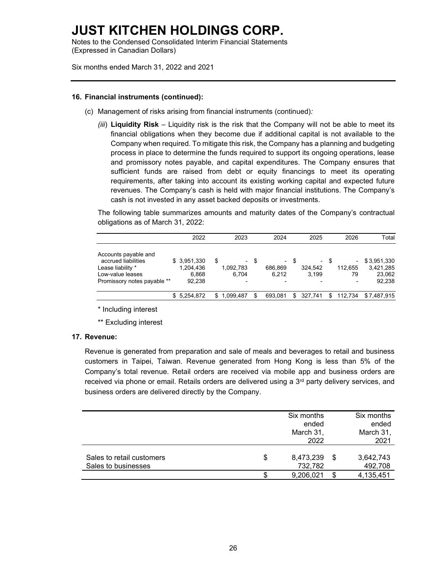Notes to the Condensed Consolidated Interim Financial Statements (Expressed in Canadian Dollars)

Six months ended March 31, 2022 and 2021

#### **16. Financial instruments (continued):**

- (c) Management of risks arising from financial instruments (continued)*:*
	- *(iii*) **Liquidity Risk** Liquidity risk is the risk that the Company will not be able to meet its financial obligations when they become due if additional capital is not available to the Company when required. To mitigate this risk, the Company has a planning and budgeting process in place to determine the funds required to support its ongoing operations, lease and promissory notes payable, and capital expenditures. The Company ensures that sufficient funds are raised from debt or equity financings to meet its operating requirements, after taking into account its existing working capital and expected future revenues. The Company's cash is held with major financial institutions. The Company's cash is not invested in any asset backed deposits or investments.

The following table summarizes amounts and maturity dates of the Company's contractual obligations as of March 31, 2022:

|                                                                                                                     | 2022                                        | 2023                               |      | 2024                  |      | 2025                       |      | 2026          | Total                                        |
|---------------------------------------------------------------------------------------------------------------------|---------------------------------------------|------------------------------------|------|-----------------------|------|----------------------------|------|---------------|----------------------------------------------|
| Accounts payable and<br>accrued liabilities<br>Lease liability *<br>Low-value leases<br>Promissory notes payable ** | \$3,951,330<br>1,204,436<br>6.868<br>92.238 | \$<br>۰<br>1,092,783<br>6.704<br>۰ | - \$ | 686,869<br>6.212<br>- | - \$ | $\sim$<br>324.542<br>3.199 | - \$ | 112,655<br>79 | \$3,951,330<br>3,421,285<br>23,062<br>92.238 |
|                                                                                                                     | \$5.254.872                                 | \$1,099,487                        | \$.  | 693.081               | \$   | 327.741                    | \$   | 112.734       | \$7.487.915                                  |

\* Including interest

\*\* Excluding interest

#### **17. Revenue:**

Revenue is generated from preparation and sale of meals and beverages to retail and business customers in Taipei, Taiwan. Revenue generated from Hong Kong is less than 5% of the Company's total revenue. Retail orders are received via mobile app and business orders are received via phone or email. Retails orders are delivered using a 3<sup>rd</sup> party delivery services, and business orders are delivered directly by the Company.

|                           | Six months      |      | Six months |
|---------------------------|-----------------|------|------------|
|                           | ended           |      | ended      |
|                           | March 31,       |      | March 31,  |
|                           | 2022            |      | 2021       |
|                           |                 |      |            |
| Sales to retail customers | \$<br>8,473,239 | - \$ | 3,642,743  |
| Sales to businesses       | 732,782         |      | 492,708    |
|                           | \$<br>9,206,021 | S    | 4,135,451  |